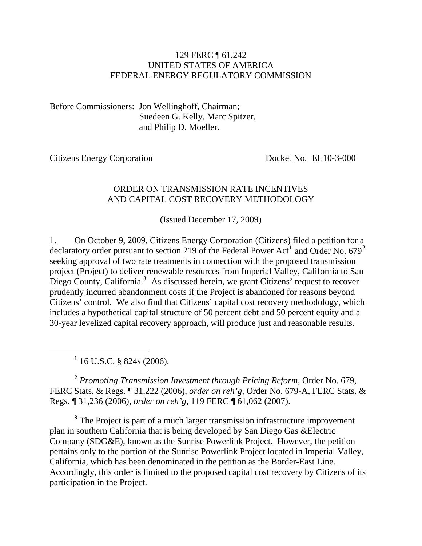#### 129 FERC ¶ 61,242 UNITED STATES OF AMERICA FEDERAL ENERGY REGULATORY COMMISSION

Before Commissioners: Jon Wellinghoff, Chairman; Suedeen G. Kelly, Marc Spitzer, and Philip D. Moeller.

Citizens Energy Corporation Docket No. EL10-3-000

#### ORDER ON TRANSMISSION RATE INCENTIVES AND CAPITAL COST RECOVERY METHODOLOGY

(Issued December 17, 2009)

1. On October 9, 2009, Citizens Energy Corporation (Citizens) filed a petition for a declaratory order pursuant to section 219 of the Federal Power Act**[1](#page-0-0)** and Order No. 679**[2](#page-0-1)** seeking approval of two rate treatments in connection with the proposed transmission project (Project) to deliver renewable resources from Imperial Valley, California to San Diego County, California.<sup>[3](#page-0-2)</sup> As discussed herein, we grant Citizens' request to recover prudently incurred abandonment costs if the Project is abandoned for reasons beyond Citizens' control. We also find that Citizens' capital cost recovery methodology, which includes a hypothetical capital structure of 50 percent debt and 50 percent equity and a 30-year levelized capital recovery approach, will produce just and reasonable results.

<span id="page-0-0"></span> $\frac{1}{1}$  $1\overline{16}$  U.S.C. § 824s (2006).

<span id="page-0-1"></span>**<sup>2</sup>** *Promoting Transmission Investment through Pricing Reform*, Order No. 679, FERC Stats. & Regs. ¶ 31,222 (2006), *order on reh'g*, Order No. 679-A, FERC Stats. & Regs. ¶ 31,236 (2006), *order on reh'g*, 119 FERC ¶ 61,062 (2007).

<span id="page-0-2"></span><sup>3</sup> The Project is part of a much larger transmission infrastructure improvement plan in southern California that is being developed by San Diego Gas &Electric Company (SDG&E), known as the Sunrise Powerlink Project. However, the petition pertains only to the portion of the Sunrise Powerlink Project located in Imperial Valley, California, which has been denominated in the petition as the Border-East Line. Accordingly, this order is limited to the proposed capital cost recovery by Citizens of its participation in the Project.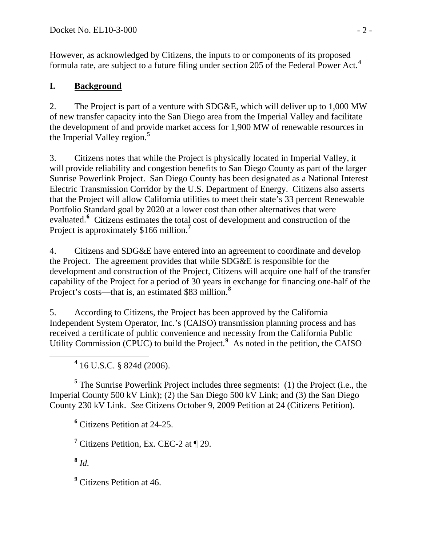However, as acknowledged by Citizens, the inputs to or components of its proposed formula rate, are subject to a future filing under section 205 of the Federal Power Act.**[4](#page-1-0)**

### **I. Background**

2. The Project is part of a venture with SDG&E, which will deliver up to 1,000 MW of new transfer capacity into the San Diego area from the Imperial Valley and facilitate the development of and provide market access for 1,900 MW of renewable resources in the Imperial Valley region.**[5](#page-1-1)**

3. Citizens notes that while the Project is physically located in Imperial Valley, it will provide reliability and congestion benefits to San Diego County as part of the larger Sunrise Powerlink Project. San Diego County has been designated as a National Interest Electric Transmission Corridor by the U.S. Department of Energy. Citizens also asserts that the Project will allow California utilities to meet their state's 33 percent Renewable Portfolio Standard goal by 2020 at a lower cost than other alternatives that were evaluated.**[6](#page-1-2)** Citizens estimates the total cost of development and construction of the Project is approximately \$166 million.**[7](#page-1-3)**

4. Citizens and SDG&E have entered into an agreement to coordinate and develop the Project. The agreement provides that while SDG&E is responsible for the development and construction of the Project, Citizens will acquire one half of the transfer capability of the Project for a period of 30 years in exchange for financing one-half of the Project's costs—that is, an estimated \$83 million.**[8](#page-1-4)**

5. According to Citizens, the Project has been approved by the California Independent System Operator, Inc.'s (CAISO) transmission planning process and has received a certificate of public convenience and necessity from the California Public Utility Commission (CPUC) to build the Project.<sup>[9](#page-1-5)</sup> As noted in the petition, the CAISO

<span id="page-1-0"></span> **<sup>4</sup>**  $4$  16 U.S.C. § 824d (2006).

<span id="page-1-2"></span><span id="page-1-1"></span><sup>5</sup> The Sunrise Powerlink Project includes three segments: (1) the Project (i.e., the Imperial County 500 kV Link); (2) the San Diego 500 kV Link; and (3) the San Diego County 230 kV Link. *See* Citizens October 9, 2009 Petition at 24 (Citizens Petition).

**6** Citizens Petition at 24-25.

<span id="page-1-3"></span><sup>7</sup> Citizens Petition, Ex. CEC-2 at ¶ 29.

<span id="page-1-4"></span>**<sup>8</sup>** *Id.*

<span id="page-1-5"></span><sup>9</sup> Citizens Petition at 46.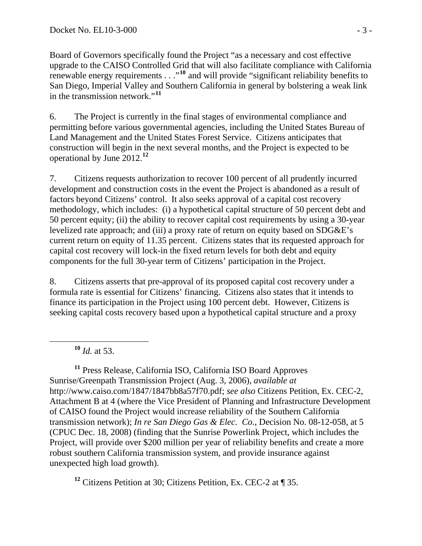Board of Governors specifically found the Project "as a necessary and cost effective upgrade to the CAISO Controlled Grid that will also facilitate compliance with California renewable energy requirements . . ."**<sup>10</sup>** and will provide "significant reliability benefits to San Diego, Imperial Valley and Southern California in general by bolstering a weak link in the transmission network."**<sup>11</sup>**

6. The Project is currently in the final stages of environmental compliance and permitting before various governmental agencies, including the United States Bureau of Land Management and the United States Forest Service. Citizens anticipates that construction will begin in the next several months, and the Project is expected to be operational by June 2012.**[12](#page-2-0)**

7. Citizens requests authorization to recover 100 percent of all prudently incurred development and construction costs in the event the Project is abandoned as a result of factors beyond Citizens' control. It also seeks approval of a capital cost recovery methodology, which includes: (i) a hypothetical capital structure of 50 percent debt and 50 percent equity; (ii) the ability to recover capital cost requirements by using a 30-year levelized rate approach; and (iii) a proxy rate of return on equity based on SDG&E's current return on equity of 11.35 percent. Citizens states that its requested approach for capital cost recovery will lock-in the fixed return levels for both debt and equity components for the full 30-year term of Citizens' participation in the Project.

8. Citizens asserts that pre-approval of its proposed capital cost recovery under a formula rate is essential for Citizens' financing. Citizens also states that it intends to finance its participation in the Project using 100 percent debt. However, Citizens is seeking capital costs recovery based upon a hypothetical capital structure and a proxy

**<sup>10</sup>** *Id.* at 53.

**<sup>11</sup>** Press Release, California ISO, California ISO Board Approves Sunrise/Greenpath Transmission Project (Aug. 3, 2006), *available at*  http://www.caiso.com/1847/1847bb8a57f70.pdf; *see also* Citizens Petition, Ex. CEC-2, Attachment B at 4 (where the Vice President of Planning and Infrastructure Development of CAISO found the Project would increase reliability of the Southern California transmission network); *In re San Diego Gas & Elec. Co.*, Decision No. 08-12-058, at 5 (CPUC Dec. 18, 2008) (finding that the Sunrise Powerlink Project, which includes the Project, will provide over \$200 million per year of reliability benefits and create a more robust southern California transmission system, and provide insurance against unexpected high load growth).

<span id="page-2-0"></span>**<sup>12</sup>** Citizens Petition at 30; Citizens Petition, Ex. CEC-2 at ¶ 35.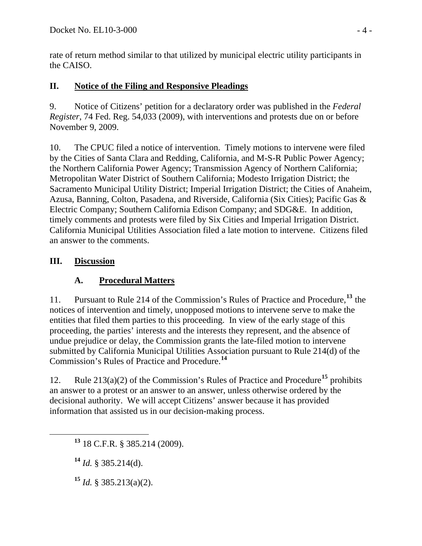rate of return method similar to that utilized by municipal electric utility participants in the CAISO.

### **II. Notice of the Filing and Responsive Pleadings**

9. Notice of Citizens' petition for a declaratory order was published in the *Federal Register*, 74 Fed. Reg. 54,033 (2009), with interventions and protests due on or before November 9, 2009.

10. The CPUC filed a notice of intervention. Timely motions to intervene were filed by the Cities of Santa Clara and Redding, California, and M-S-R Public Power Agency; the Northern California Power Agency; Transmission Agency of Northern California; Metropolitan Water District of Southern California; Modesto Irrigation District; the Sacramento Municipal Utility District; Imperial Irrigation District; the Cities of Anaheim, Azusa, Banning, Colton, Pasadena, and Riverside, California (Six Cities); Pacific Gas & Electric Company; Southern California Edison Company; and SDG&E. In addition, timely comments and protests were filed by Six Cities and Imperial Irrigation District. California Municipal Utilities Association filed a late motion to intervene. Citizens filed an answer to the comments.

### **III. Discussion**

# **A. Procedural Matters**

11. Pursuant to Rule 214 of the Commission's Rules of Practice and Procedure,**[13](#page-3-0)** the notices of intervention and timely, unopposed motions to intervene serve to make the entities that filed them parties to this proceeding. In view of the early stage of this proceeding, the parties' interests and the interests they represent, and the absence of undue prejudice or delay, the Commission grants the late-filed motion to intervene submitted by California Municipal Utilities Association pursuant to Rule 214(d) of the Commission's Rules of Practice and Procedure.**[14](#page-3-1)**

12. Rule 213(a)(2) of the Commission's Rules of Practice and Procedure**[15](#page-3-2)** prohibits an answer to a protest or an answer to an answer, unless otherwise ordered by the decisional authority. We will accept Citizens' answer because it has provided information that assisted us in our decision-making process.

<span id="page-3-1"></span>**<sup>14</sup>** *Id.* § 385.214(d).

<span id="page-3-2"></span>**<sup>15</sup>** *Id.* § 385.213(a)(2).

<span id="page-3-0"></span>**<sup>13</sup>** 18 C.F.R. § 385.214 (2009).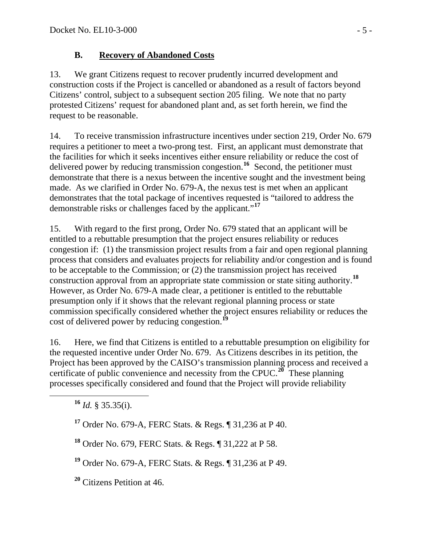### **B. Recovery of Abandoned Costs**

13. We grant Citizens request to recover prudently incurred development and construction costs if the Project is cancelled or abandoned as a result of factors beyond Citizens' control, subject to a subsequent section 205 filing. We note that no party protested Citizens' request for abandoned plant and, as set forth herein, we find the request to be reasonable.

14. To receive transmission infrastructure incentives under section 219, Order No. 679 requires a petitioner to meet a two-prong test. First, an applicant must demonstrate that the facilities for which it seeks incentives either ensure reliability or reduce the cost of delivered power by reducing transmission congestion.**[16](#page-4-0)** Second, the petitioner must demonstrate that there is a nexus between the incentive sought and the investment being made. As we clarified in Order No. 679-A, the nexus test is met when an applicant demonstrates that the total package of incentives requested is "tailored to address the demonstrable risks or challenges faced by the applicant."**[17](#page-4-1)**

15. With regard to the first prong, Order No. 679 stated that an applicant will be entitled to a rebuttable presumption that the project ensures reliability or reduces congestion if: (1) the transmission project results from a fair and open regional planning process that considers and evaluates projects for reliability and/or congestion and is found to be acceptable to the Commission; or (2) the transmission project has received construction approval from an appropriate state commission or state siting authority.**[18](#page-4-2)** However, as Order No. 679-A made clear, a petitioner is entitled to the rebuttable presumption only if it shows that the relevant regional planning process or state commission specifically considered whether the project ensures reliability or reduces the cost of delivered power by reducing congestion.**[19](#page-4-3)**

16. Here, we find that Citizens is entitled to a rebuttable presumption on eligibility for the requested incentive under Order No. 679. As Citizens describes in its petition, the Project has been approved by the CAISO's transmission planning process and received a certificate of public convenience and necessity from the CPUC.**[20](#page-4-4)** These planning processes specifically considered and found that the Project will provide reliability

<span id="page-4-0"></span>**<sup>16</sup>** *Id.* § 35.35(i).

<span id="page-4-1"></span>**<sup>17</sup>** Order No. 679-A, FERC Stats. & Regs. ¶ 31,236 at P 40.

<span id="page-4-2"></span>**<sup>18</sup>** Order No. 679, FERC Stats. & Regs. ¶ 31,222 at P 58.

<span id="page-4-3"></span>**<sup>19</sup>** Order No. 679-A, FERC Stats. & Regs. ¶ 31,236 at P 49.

<span id="page-4-4"></span>**<sup>20</sup>** Citizens Petition at 46.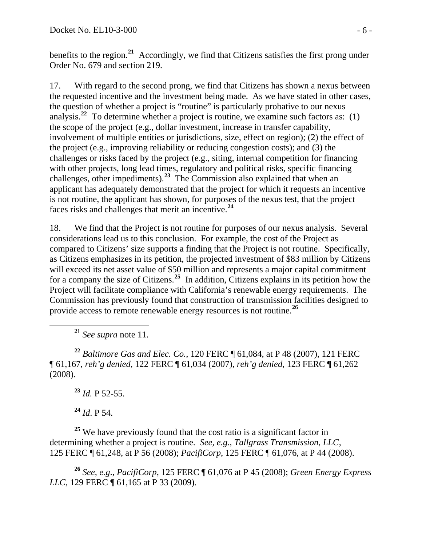benefits to the region.**<sup>21</sup>** Accordingly, we find that Citizens satisfies the first prong under Order No. 679 and section 219.

17. With regard to the second prong, we find that Citizens has shown a nexus between the requested incentive and the investment being made. As we have stated in other cases, the question of whether a project is "routine" is particularly probative to our nexus analysis.**[22](#page-5-0)** To determine whether a project is routine, we examine such factors as: (1) the scope of the project (e.g., dollar investment, increase in transfer capability, involvement of multiple entities or jurisdictions, size, effect on region); (2) the effect of the project (e.g., improving reliability or reducing congestion costs); and (3) the challenges or risks faced by the project (e.g., siting, internal competition for financing with other projects, long lead times, regulatory and political risks, specific financing challenges, other impediments).**[23](#page-5-1)** The Commission also explained that when an applicant has adequately demonstrated that the project for which it requests an incentive is not routine, the applicant has shown, for purposes of the nexus test, that the project faces risks and challenges that merit an incentive.**[24](#page-5-2)**

18. We find that the Project is not routine for purposes of our nexus analysis. Several considerations lead us to this conclusion. For example, the cost of the Project as compared to Citizens' size supports a finding that the Project is not routine. Specifically, as Citizens emphasizes in its petition, the projected investment of \$83 million by Citizens will exceed its net asset value of \$50 million and represents a major capital commitment for a company the size of Citizens.**[25](#page-5-3)** In addition, Citizens explains in its petition how the Project will facilitate compliance with California's renewable energy requirements. The Commission has previously found that construction of transmission facilities designed to provide access to remote renewable energy resources is not routine.**[26](#page-5-4)**

**<sup>21</sup>** *See supra* note 11.

<span id="page-5-0"></span>**<sup>22</sup>** *Baltimore Gas and Elec. Co.*, 120 FERC ¶ 61,084, at P 48 (2007), 121 FERC ¶ 61,167, *reh'g denied*, 122 FERC ¶ 61,034 (2007), *reh'g denied*, 123 FERC ¶ 61,262 (2008).

**<sup>23</sup>** *Id.* P 52-55.

**<sup>24</sup>** *Id*. P 54.

<span id="page-5-3"></span><span id="page-5-2"></span><span id="page-5-1"></span><sup>25</sup> We have previously found that the cost ratio is a significant factor in determining whether a project is routine. *See, e.g.*, *Tallgrass Transmission, LLC*, 125 FERC ¶ 61,248, at P 56 (2008); *PacifiCorp*, 125 FERC ¶ 61,076, at P 44 (2008).

<span id="page-5-4"></span>**<sup>26</sup>** *See, e.g*., *PacifiCorp*, 125 FERC ¶ 61,076 at P 45 (2008); *Green Energy Express LLC*, 129 FERC ¶ 61,165 at P 33 (2009).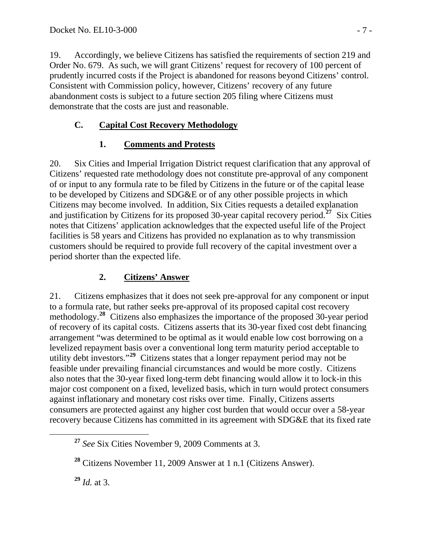19. Accordingly, we believe Citizens has satisfied the requirements of section 219 and Order No. 679. As such, we will grant Citizens' request for recovery of 100 percent of prudently incurred costs if the Project is abandoned for reasons beyond Citizens' control. Consistent with Commission policy, however, Citizens' recovery of any future abandonment costs is subject to a future section 205 filing where Citizens must demonstrate that the costs are just and reasonable.

### **C. Capital Cost Recovery Methodology**

# **1. Comments and Protests**

20. Six Cities and Imperial Irrigation District request clarification that any approval of Citizens' requested rate methodology does not constitute pre-approval of any component of or input to any formula rate to be filed by Citizens in the future or of the capital lease to be developed by Citizens and SDG&E or of any other possible projects in which Citizens may become involved. In addition, Six Cities requests a detailed explanation and justification by Citizens for its proposed 30-year capital recovery period.**[27](#page-6-0)** Six Cities notes that Citizens' application acknowledges that the expected useful life of the Project facilities is 58 years and Citizens has provided no explanation as to why transmission customers should be required to provide full recovery of the capital investment over a period shorter than the expected life.

# **2. Citizens' Answer**

21. Citizens emphasizes that it does not seek pre-approval for any component or input to a formula rate, but rather seeks pre-approval of its proposed capital cost recovery methodology.**[28](#page-6-1)** Citizens also emphasizes the importance of the proposed 30-year period of recovery of its capital costs. Citizens asserts that its 30-year fixed cost debt financing arrangement "was determined to be optimal as it would enable low cost borrowing on a levelized repayment basis over a conventional long term maturity period acceptable to utility debt investors."<sup>[29](#page-6-2)</sup> Citizens states that a longer repayment period may not be feasible under prevailing financial circumstances and would be more costly. Citizens also notes that the 30-year fixed long-term debt financing would allow it to lock-in this major cost component on a fixed, levelized basis, which in turn would protect consumers against inflationary and monetary cost risks over time. Finally, Citizens asserts consumers are protected against any higher cost burden that would occur over a 58-year recovery because Citizens has committed in its agreement with SDG&E that its fixed rate

<span id="page-6-0"></span>**<sup>27</sup>** *See* Six Cities November 9, 2009 Comments at 3.

<span id="page-6-1"></span>**<sup>28</sup>** Citizens November 11, 2009 Answer at 1 n.1 (Citizens Answer).

<span id="page-6-2"></span>**<sup>29</sup>** *Id.* at 3.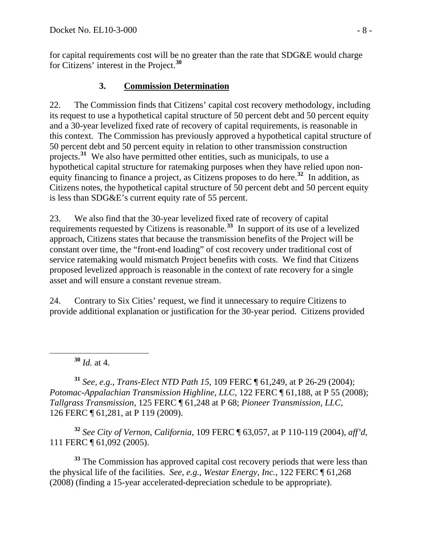for capital requirements cost will be no greater than the rate that SDG&E would charge for Citizens' interest in the Project.**<sup>30</sup>**

## **3. Commission Determination**

22. The Commission finds that Citizens' capital cost recovery methodology, including its request to use a hypothetical capital structure of 50 percent debt and 50 percent equity and a 30-year levelized fixed rate of recovery of capital requirements, is reasonable in this context. The Commission has previously approved a hypothetical capital structure of 50 percent debt and 50 percent equity in relation to other transmission construction projects.**[31](#page-7-0)** We also have permitted other entities, such as municipals, to use a hypothetical capital structure for ratemaking purposes when they have relied upon nonequity financing to finance a project, as Citizens proposes to do here.**[32](#page-7-1)** In addition, as Citizens notes, the hypothetical capital structure of 50 percent debt and 50 percent equity is less than SDG&E's current equity rate of 55 percent.

23. We also find that the 30-year levelized fixed rate of recovery of capital requirements requested by Citizens is reasonable.<sup>[33](#page-7-2)</sup> In support of its use of a levelized approach, Citizens states that because the transmission benefits of the Project will be constant over time, the "front-end loading" of cost recovery under traditional cost of service ratemaking would mismatch Project benefits with costs. We find that Citizens proposed levelized approach is reasonable in the context of rate recovery for a single asset and will ensure a constant revenue stream.

24. Contrary to Six Cities' request, we find it unnecessary to require Citizens to provide additional explanation or justification for the 30-year period. Citizens provided

**<sup>30</sup>** *Id.* at 4.

<span id="page-7-0"></span>**<sup>31</sup>** *See, e.g.*, *Trans-Elect NTD Path 15*, 109 FERC ¶ 61,249, at P 26-29 (2004); *Potomac-Appalachian Transmission Highline, LLC*, 122 FERC ¶ 61,188, at P 55 (2008); *Tallgrass Transmission*, 125 FERC ¶ 61,248 at P 68; *Pioneer Transmission, LLC*, 126 FERC ¶ 61,281, at P 119 (2009).

<span id="page-7-1"></span>**<sup>32</sup>** *See City of Vernon, California*, 109 FERC ¶ 63,057, at P 110-119 (2004), *aff'd*, 111 FERC ¶ 61,092 (2005).

<span id="page-7-2"></span>**<sup>33</sup>** The Commission has approved capital cost recovery periods that were less than the physical life of the facilities. *See*, *e.g.*, *Westar Energy, Inc.*, 122 FERC ¶ 61,268 (2008) (finding a 15-year accelerated-depreciation schedule to be appropriate).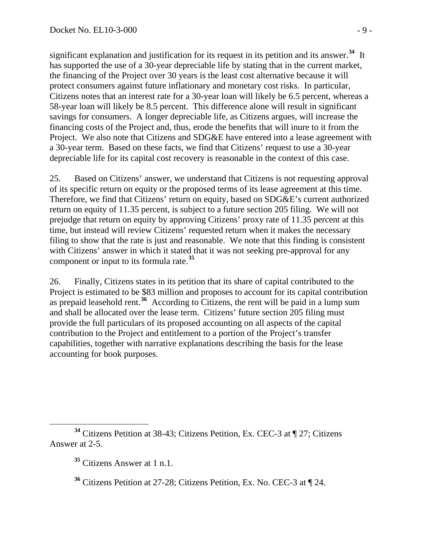significant explanation and justification for its request in its petition and its answer.**[34](#page-8-0)** It has supported the use of a 30-year depreciable life by stating that in the current market, the financing of the Project over 30 years is the least cost alternative because it will protect consumers against future inflationary and monetary cost risks. In particular, Citizens notes that an interest rate for a 30-year loan will likely be 6.5 percent, whereas a 58-year loan will likely be 8.5 percent. This difference alone will result in significant savings for consumers. A longer depreciable life, as Citizens argues, will increase the financing costs of the Project and, thus, erode the benefits that will inure to it from the Project. We also note that Citizens and SDG&E have entered into a lease agreement with a 30-year term. Based on these facts, we find that Citizens' request to use a 30-year depreciable life for its capital cost recovery is reasonable in the context of this case.

25. Based on Citizens' answer, we understand that Citizens is not requesting approval of its specific return on equity or the proposed terms of its lease agreement at this time. Therefore, we find that Citizens' return on equity, based on SDG&E's current authorized return on equity of 11.35 percent, is subject to a future section 205 filing. We will not prejudge that return on equity by approving Citizens' proxy rate of 11.35 percent at this time, but instead will review Citizens' requested return when it makes the necessary filing to show that the rate is just and reasonable. We note that this finding is consistent with Citizens' answer in which it stated that it was not seeking pre-approval for any component or input to its formula rate.**[35](#page-8-1)**

26. Finally, Citizens states in its petition that its share of capital contributed to the Project is estimated to be \$83 million and proposes to account for its capital contribution as prepaid leasehold rent.**[36](#page-8-2)** According to Citizens, the rent will be paid in a lump sum and shall be allocated over the lease term. Citizens' future section 205 filing must provide the full particulars of its proposed accounting on all aspects of the capital contribution to the Project and entitlement to a portion of the Project's transfer capabilities, together with narrative explanations describing the basis for the lease accounting for book purposes.

<span id="page-8-2"></span><span id="page-8-1"></span><span id="page-8-0"></span>**<sup>34</sup>** Citizens Petition at 38-43; Citizens Petition, Ex. CEC-3 at ¶ 27; Citizens Answer at 2-5.

**<sup>35</sup>** Citizens Answer at 1 n.1.

**<sup>36</sup>** Citizens Petition at 27-28; Citizens Petition, Ex. No. CEC-3 at ¶ 24.